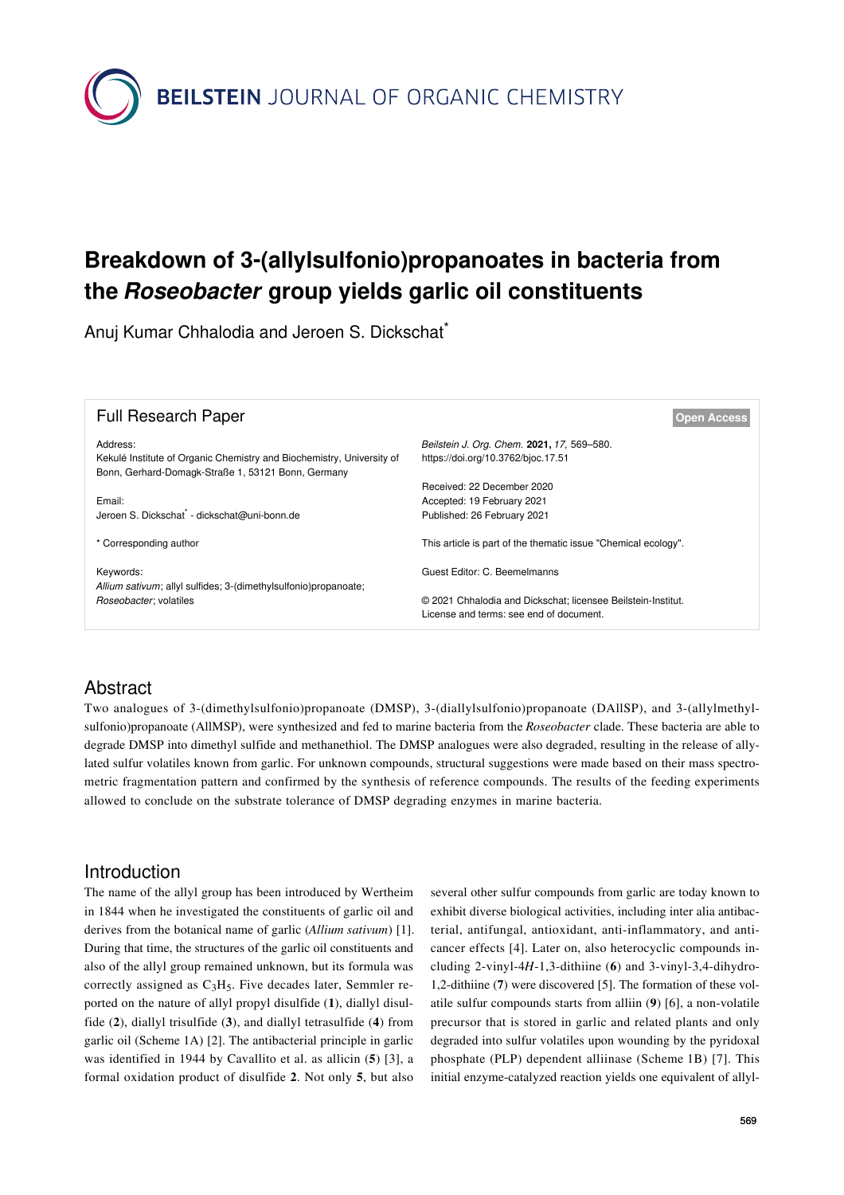**BEILSTEIN** JOURNAL OF ORGANIC CHEMISTRY

# **Breakdown of 3-(allylsulfonio)propanoates in bacteria from the** *Roseobacter* **group yields garlic oil constituents**

Anuj Kumar Chhalodia and Jeroen S. Dickschat\*

| <b>Full Research Paper</b>                                                                                                              | <b>Open Access</b>                                                               |
|-----------------------------------------------------------------------------------------------------------------------------------------|----------------------------------------------------------------------------------|
| Address:<br>Kekulé Institute of Organic Chemistry and Biochemistry, University of<br>Bonn, Gerhard-Domagk-Straße 1, 53121 Bonn, Germany | Beilstein J. Org. Chem. 2021, 17, 569-580.<br>https://doi.org/10.3762/bjoc.17.51 |
| Email:                                                                                                                                  | Received: 22 December 2020                                                       |
| Jeroen S. Dickschat <sup>*</sup> - dickschat@uni-bonn.de                                                                                | Accepted: 19 February 2021<br>Published: 26 February 2021                        |
| * Corresponding author                                                                                                                  | This article is part of the thematic issue "Chemical ecology".                   |
| Keywords:                                                                                                                               | Guest Editor: C. Beemelmanns                                                     |
| Allium sativum; allyl sulfides; 3-(dimethylsulfonio)propanoate;<br>Roseobacter; volatiles                                               | © 2021 Chhalodia and Dickschat; licensee Beilstein-Institut.                     |
|                                                                                                                                         | License and terms: see end of document.                                          |

## Abstract

Two analogues of 3-(dimethylsulfonio)propanoate (DMSP), 3-(diallylsulfonio)propanoate (DAllSP), and 3-(allylmethylsulfonio)propanoate (AllMSP), were synthesized and fed to marine bacteria from the *Roseobacter* clade. These bacteria are able to degrade DMSP into dimethyl sulfide and methanethiol. The DMSP analogues were also degraded, resulting in the release of allylated sulfur volatiles known from garlic. For unknown compounds, structural suggestions were made based on their mass spectrometric fragmentation pattern and confirmed by the synthesis of reference compounds. The results of the feeding experiments allowed to conclude on the substrate tolerance of DMSP degrading enzymes in marine bacteria.

## Introduction

The name of the allyl group has been introduced by Wertheim in 1844 when he investigated the constituents of garlic oil and derives from the botanical name of garlic (*Allium sativum*) [\[1\]](#page-10-0). During that time, the structures of the garlic oil constituents and also of the allyl group remained unknown, but its formula was correctly assigned as  $C_3H_5$ . Five decades later, Semmler reported on the nature of allyl propyl disulfide (**1**), diallyl disulfide (**2**), diallyl trisulfide (**3**), and diallyl tetrasulfide (**4**) from garlic oil [\(Scheme 1A](#page-1-0)) [\[2\].](#page-10-1) The antibacterial principle in garlic was identified in 1944 by Cavallito et al. as allicin (**5**) [\[3\]](#page-10-2), a formal oxidation product of disulfide **2**. Not only **5**, but also

several other sulfur compounds from garlic are today known to exhibit diverse biological activities, including inter alia antibacterial, antifungal, antioxidant, anti-inflammatory, and anticancer effects [\[4\].](#page-10-3) Later on, also heterocyclic compounds including 2-vinyl-4*H*-1,3-dithiine (**6**) and 3-vinyl-3,4-dihydro-1,2-dithiine (**7**) were discovered [\[5\].](#page-10-4) The formation of these volatile sulfur compounds starts from alliin (**9**) [\[6\]](#page-10-5), a non-volatile precursor that is stored in garlic and related plants and only degraded into sulfur volatiles upon wounding by the pyridoxal phosphate (PLP) dependent alliinase ([Scheme 1B](#page-1-0)) [\[7\]](#page-10-6). This initial enzyme-catalyzed reaction yields one equivalent of allyl-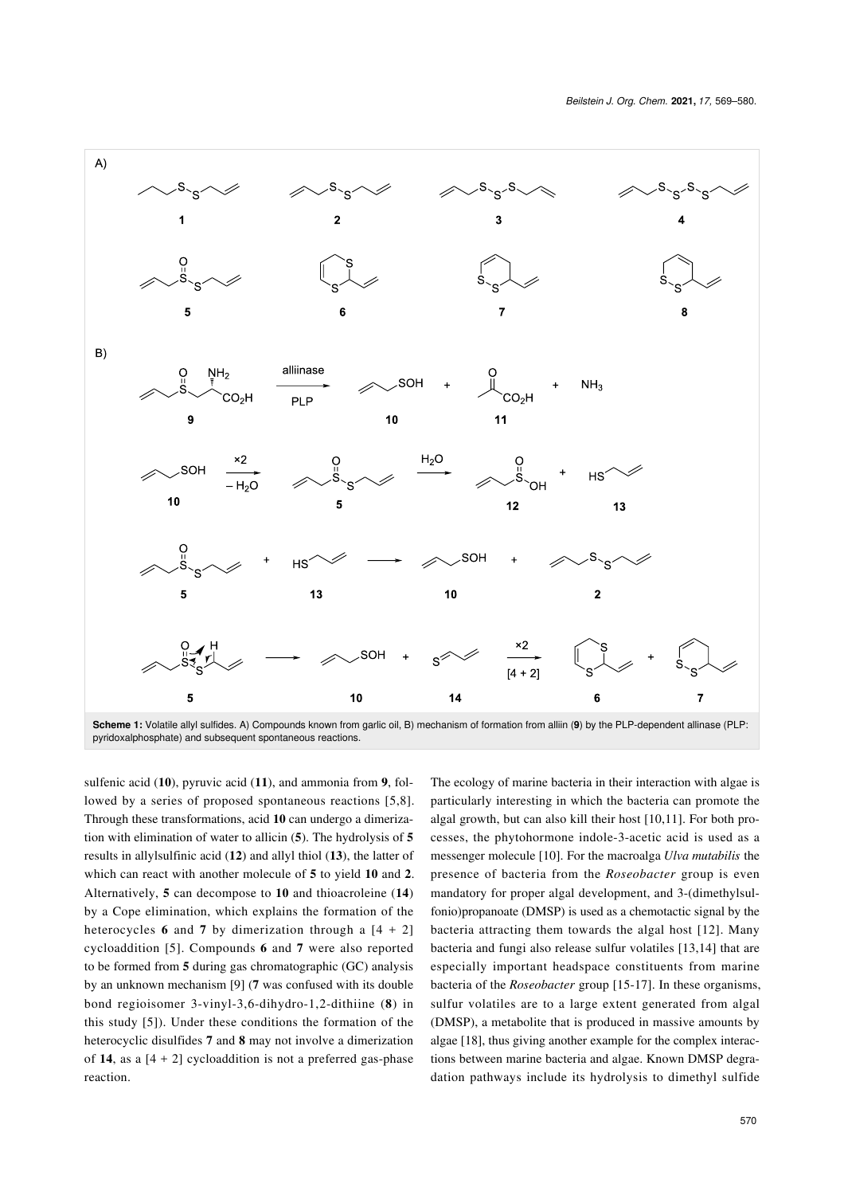<span id="page-1-0"></span>

sulfenic acid (**10**), pyruvic acid (**11**), and ammonia from **9**, followed by a series of proposed spontaneous reactions [\[5,8\]](#page-10-4). Through these transformations, acid **10** can undergo a dimerization with elimination of water to allicin (**5**). The hydrolysis of **5** results in allylsulfinic acid (**12**) and allyl thiol (**13**), the latter of which can react with another molecule of **5** to yield **10** and **2**. Alternatively, **5** can decompose to **10** and thioacroleine (**14**) by a Cope elimination, which explains the formation of the heterocycles **6** and **7** by dimerization through a  $[4 + 2]$ cycloaddition [\[5\]](#page-10-4). Compounds **6** and **7** were also reported to be formed from **5** during gas chromatographic (GC) analysis by an unknown mechanism [\[9\]](#page-10-7) (**7** was confused with its double bond regioisomer 3-vinyl-3,6-dihydro-1,2-dithiine (**8**) in this study [\[5\]](#page-10-4)). Under these conditions the formation of the heterocyclic disulfides **7** and **8** may not involve a dimerization of **14**, as a  $[4 + 2]$  cycloaddition is not a preferred gas-phase reaction.

The ecology of marine bacteria in their interaction with algae is particularly interesting in which the bacteria can promote the algal growth, but can also kill their host [\[10,11\]](#page-10-8). For both processes, the phytohormone indole-3-acetic acid is used as a messenger molecule [\[10\]](#page-10-8). For the macroalga *Ulva mutabilis* the presence of bacteria from the *Roseobacter* group is even mandatory for proper algal development, and 3-(dimethylsulfonio)propanoate (DMSP) is used as a chemotactic signal by the bacteria attracting them towards the algal host [\[12\]](#page-10-9). Many bacteria and fungi also release sulfur volatiles [\[13,14\]](#page-11-0) that are especially important headspace constituents from marine bacteria of the *Roseobacter* group [\[15-17\].](#page-11-1) In these organisms, sulfur volatiles are to a large extent generated from algal (DMSP), a metabolite that is produced in massive amounts by algae [\[18\],](#page-11-2) thus giving another example for the complex interactions between marine bacteria and algae. Known DMSP degradation pathways include its hydrolysis to dimethyl sulfide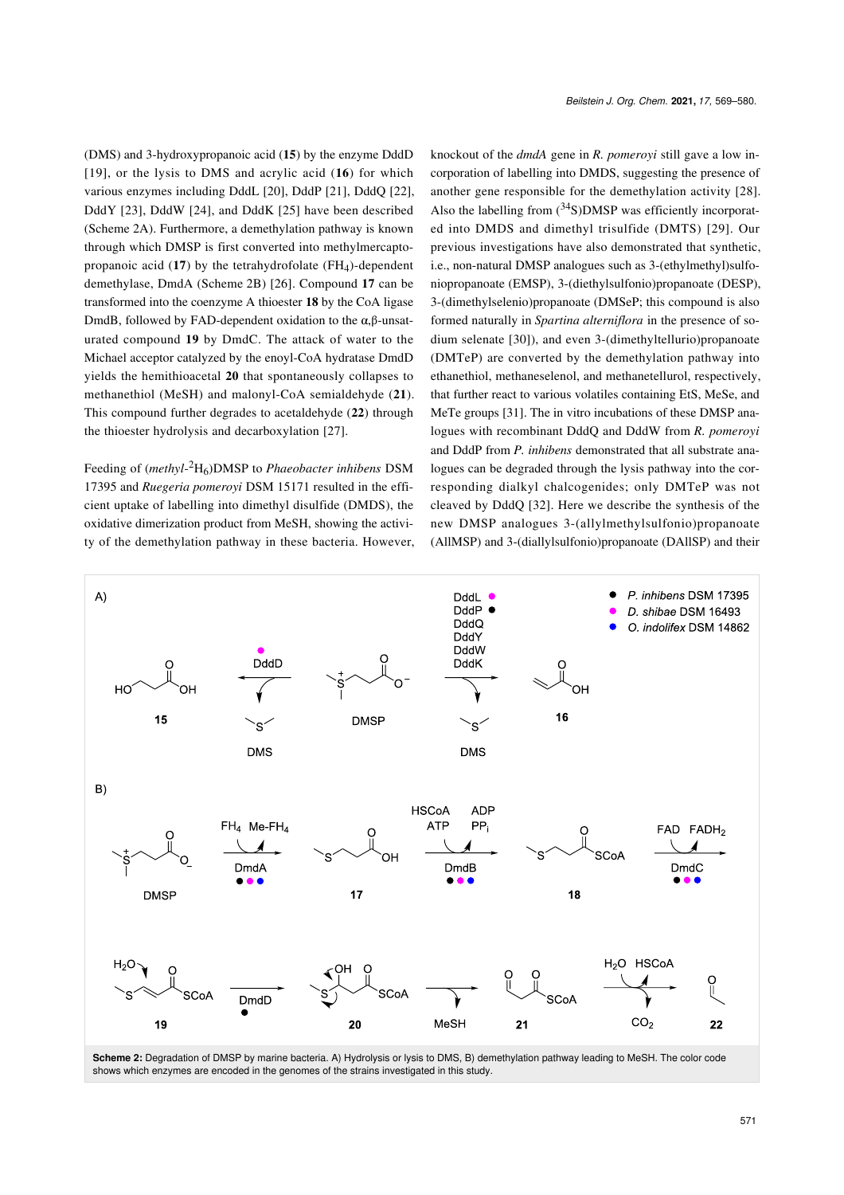(DMS) and 3-hydroxypropanoic acid (**15**) by the enzyme DddD [\[19\],](#page-11-3) or the lysis to DMS and acrylic acid (**16**) for which various enzymes including DddL [\[20\],](#page-11-4) DddP [\[21\],](#page-11-5) DddQ [\[22\]](#page-11-6), DddY [\[23\]](#page-11-7), DddW [\[24\]](#page-11-8), and DddK [\[25\]](#page-11-9) have been described ([Scheme 2A\)](#page-2-0). Furthermore, a demethylation pathway is known through which DMSP is first converted into methylmercaptopropanoic acid  $(17)$  by the tetrahydrofolate  $(FH<sub>4</sub>)$ -dependent demethylase, DmdA ([Scheme 2B](#page-2-0)) [\[26\]](#page-11-10). Compound **17** can be transformed into the coenzyme A thioester **18** by the CoA ligase DmdB, followed by FAD-dependent oxidation to the  $\alpha$ ,β-unsaturated compound **19** by DmdC. The attack of water to the Michael acceptor catalyzed by the enoyl-CoA hydratase DmdD yields the hemithioacetal **20** that spontaneously collapses to methanethiol (MeSH) and malonyl-CoA semialdehyde (**21**). This compound further degrades to acetaldehyde (**22**) through the thioester hydrolysis and decarboxylation [\[27\]](#page-11-11).

Feeding of (*methyl*-<sup>2</sup>H6)DMSP to *Phaeobacter inhibens* DSM 17395 and *Ruegeria pomeroyi* DSM 15171 resulted in the efficient uptake of labelling into dimethyl disulfide (DMDS), the oxidative dimerization product from MeSH, showing the activity of the demethylation pathway in these bacteria. However, knockout of the *dmdA* gene in *R. pomeroyi* still gave a low incorporation of labelling into DMDS, suggesting the presence of another gene responsible for the demethylation activity [\[28\]](#page-11-12). Also the labelling from  $(^{34}S)$ DMSP was efficiently incorporated into DMDS and dimethyl trisulfide (DMTS) [\[29\]](#page-11-13). Our previous investigations have also demonstrated that synthetic, i.e., non-natural DMSP analogues such as 3-(ethylmethyl)sulfoniopropanoate (EMSP), 3-(diethylsulfonio)propanoate (DESP), 3-(dimethylselenio)propanoate (DMSeP; this compound is also formed naturally in *Spartina alterniflora* in the presence of sodium selenate [\[30\]](#page-11-14)), and even 3-(dimethyltellurio)propanoate (DMTeP) are converted by the demethylation pathway into ethanethiol, methaneselenol, and methanetellurol, respectively, that further react to various volatiles containing EtS, MeSe, and MeTe groups [\[31\]](#page-11-15). The in vitro incubations of these DMSP analogues with recombinant DddQ and DddW from *R. pomeroyi* and DddP from *P. inhibens* demonstrated that all substrate analogues can be degraded through the lysis pathway into the corresponding dialkyl chalcogenides; only DMTeP was not cleaved by DddQ [\[32\]](#page-11-16). Here we describe the synthesis of the new DMSP analogues 3-(allylmethylsulfonio)propanoate (AllMSP) and 3-(diallylsulfonio)propanoate (DAllSP) and their

<span id="page-2-0"></span>

**Scheme 2:** Degradation of DMSP by marine bacteria. A) Hydrolysis or lysis to DMS, B) demethylation pathway leading to MeSH. The color code shows which enzymes are encoded in the genomes of the strains investigated in this study.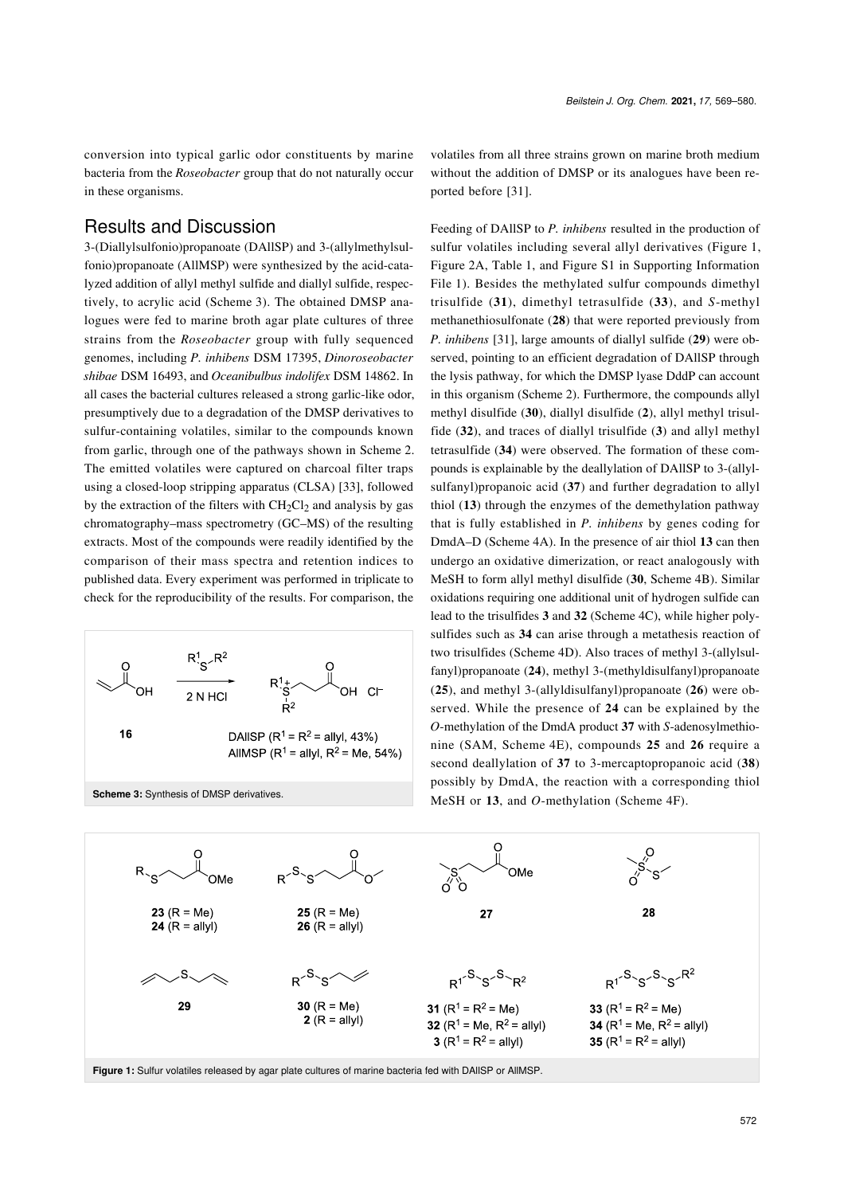conversion into typical garlic odor constituents by marine bacteria from the *Roseobacter* group that do not naturally occur in these organisms.

#### Results and Discussion

3-(Diallylsulfonio)propanoate (DAllSP) and 3-(allylmethylsulfonio)propanoate (AllMSP) were synthesized by the acid-catalyzed addition of allyl methyl sulfide and diallyl sulfide, respectively, to acrylic acid ([Scheme 3\)](#page-3-0). The obtained DMSP analogues were fed to marine broth agar plate cultures of three strains from the *Roseobacter* group with fully sequenced genomes, including *P. inhibens* DSM 17395, *Dinoroseobacter shibae* DSM 16493, and *Oceanibulbus indolifex* DSM 14862. In all cases the bacterial cultures released a strong garlic-like odor, presumptively due to a degradation of the DMSP derivatives to sulfur-containing volatiles, similar to the compounds known from garlic, through one of the pathways shown in [Scheme 2](#page-2-0). The emitted volatiles were captured on charcoal filter traps using a closed-loop stripping apparatus (CLSA) [\[33\]](#page-11-17), followed by the extraction of the filters with  $CH<sub>2</sub>Cl<sub>2</sub>$  and analysis by gas chromatography–mass spectrometry (GC–MS) of the resulting extracts. Most of the compounds were readily identified by the comparison of their mass spectra and retention indices to published data. Every experiment was performed in triplicate to check for the reproducibility of the results. For comparison, the

<span id="page-3-0"></span>

volatiles from all three strains grown on marine broth medium without the addition of DMSP or its analogues have been reported before [\[31\].](#page-11-15)

Feeding of DAllSP to *P. inhibens* resulted in the production of sulfur volatiles including several allyl derivatives ([Figure 1](#page-3-1), [Figure 2A,](#page-4-0) [Table 1](#page-4-1), and Figure S1 in [Supporting Information](#page-10-10) [File 1\)](#page-10-10). Besides the methylated sulfur compounds dimethyl trisulfide (**31**), dimethyl tetrasulfide (**33**), and *S*-methyl methanethiosulfonate (**28**) that were reported previously from *P. inhibens* [\[31\],](#page-11-15) large amounts of diallyl sulfide (**29**) were observed, pointing to an efficient degradation of DAllSP through the lysis pathway, for which the DMSP lyase DddP can account in this organism ([Scheme 2\)](#page-2-0). Furthermore, the compounds allyl methyl disulfide (**30**), diallyl disulfide (**2**), allyl methyl trisulfide (**32**), and traces of diallyl trisulfide (**3**) and allyl methyl tetrasulfide (**34**) were observed. The formation of these compounds is explainable by the deallylation of DAllSP to 3-(allylsulfanyl)propanoic acid (**37**) and further degradation to allyl thiol (**13**) through the enzymes of the demethylation pathway that is fully established in *P. inhibens* by genes coding for DmdA–D ([Scheme 4A\)](#page-5-0). In the presence of air thiol **13** can then undergo an oxidative dimerization, or react analogously with MeSH to form allyl methyl disulfide (**30**, [Scheme 4B\)](#page-5-0). Similar oxidations requiring one additional unit of hydrogen sulfide can lead to the trisulfides **3** and **32** [\(Scheme 4C\)](#page-5-0), while higher polysulfides such as **34** can arise through a metathesis reaction of two trisulfides [\(Scheme 4D\)](#page-5-0). Also traces of methyl 3-(allylsulfanyl)propanoate (**24**), methyl 3-(methyldisulfanyl)propanoate (**25**), and methyl 3-(allyldisulfanyl)propanoate (**26**) were observed. While the presence of **24** can be explained by the *O*-methylation of the DmdA product **37** with *S*-adenosylmethionine (SAM, [Scheme 4E](#page-5-0)), compounds **25** and **26** require a second deallylation of **37** to 3-mercaptopropanoic acid (**38**) possibly by DmdA, the reaction with a corresponding thiol MeSH or **13**, and *O*-methylation ([Scheme 4F\)](#page-5-0).

<span id="page-3-1"></span>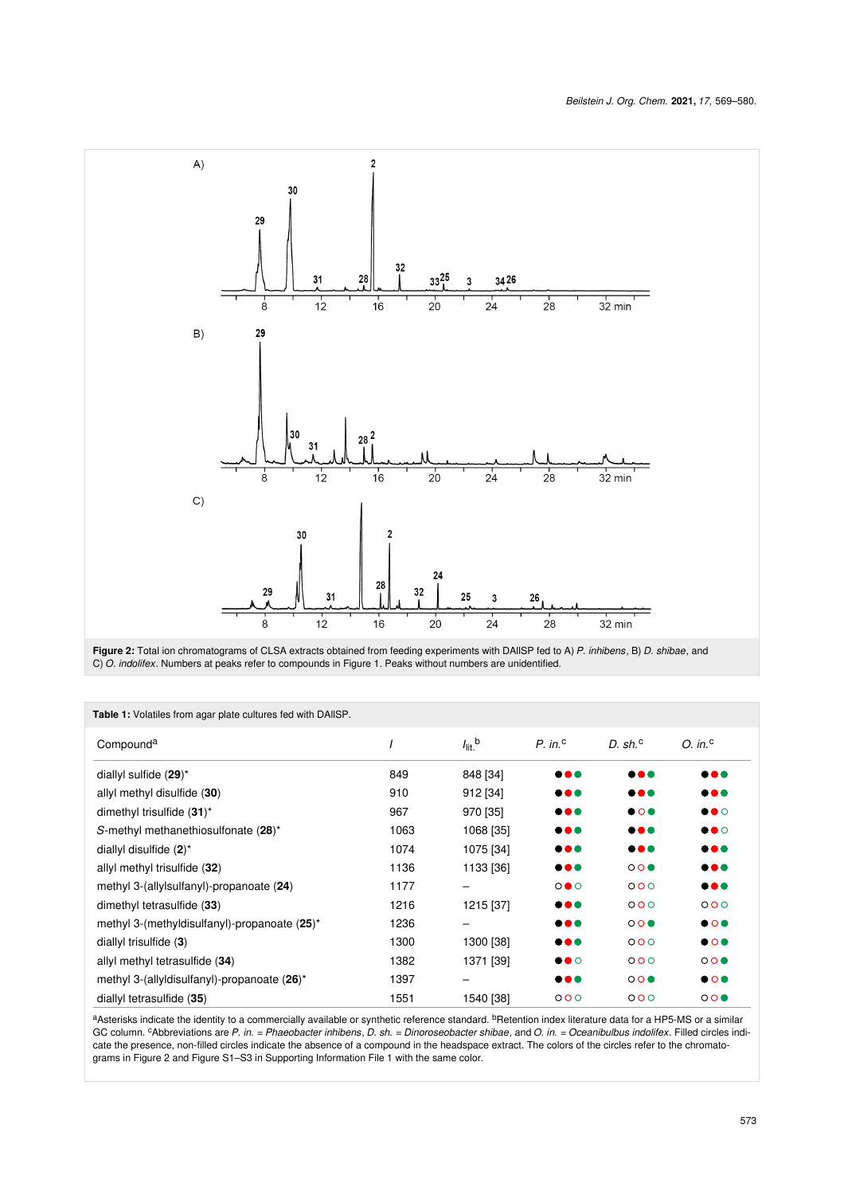<span id="page-4-0"></span>



| <b>Table 1:</b> Volatiles from agar plate cultures led with DAIISP. |      |                      |                         |                         |                         |  |  |  |  |
|---------------------------------------------------------------------|------|----------------------|-------------------------|-------------------------|-------------------------|--|--|--|--|
| Compound <sup>a</sup>                                               |      | $I_{\text{lit}}$ , b | $P.$ in. <sup>c</sup>   | D. sh. <sup>c</sup>     | $O.$ in. $\degree$      |  |  |  |  |
| diallyl sulfide $(29)^*$                                            | 849  | 848 [34]             | $\bullet\bullet\bullet$ | $\bullet\bullet\bullet$ | $\bullet\bullet\bullet$ |  |  |  |  |
| allyl methyl disulfide (30)                                         | 910  | 912 [34]             | $\bullet\bullet\bullet$ | $\bullet\bullet\bullet$ | $\bullet\bullet\bullet$ |  |  |  |  |
| dimethyl trisulfide (31)*                                           | 967  | 970 [35]             | $\bullet\bullet\bullet$ | $\bullet$ 0 $\bullet$   | $\bullet\bullet\circ$   |  |  |  |  |
| S-methyl methanethiosulfonate (28)*                                 | 1063 | 1068 [35]            | $\bullet\bullet\bullet$ | $\bullet\bullet\bullet$ | $\bullet\bullet\circ$   |  |  |  |  |
| diallyl disulfide $(2)^*$                                           | 1074 | 1075 [34]            | $\bullet\bullet\bullet$ | $\bullet\bullet\bullet$ | $\bullet\bullet\bullet$ |  |  |  |  |
| allyl methyl trisulfide (32)                                        | 1136 | 1133 [36]            | $\bullet\bullet\bullet$ | 000                     | $\bullet\bullet\bullet$ |  |  |  |  |
| methyl 3-(allylsulfanyl)-propanoate (24)                            | 1177 |                      | $\circ \bullet \circ$   | 000                     | $\bullet\bullet\bullet$ |  |  |  |  |
| dimethyl tetrasulfide (33)                                          | 1216 | 1215 [37]            | $\bullet\bullet\bullet$ | 000                     | 000                     |  |  |  |  |
| methyl 3-(methyldisulfanyl)-propanoate $(25)^*$                     | 1236 |                      | $\bullet\bullet\bullet$ | 000                     | $\bullet$ 0 $\bullet$   |  |  |  |  |
| diallyl trisulfide $(3)$                                            | 1300 | 1300 [38]            | $\bullet\bullet\bullet$ | 000                     | $\bullet$ 0 $\bullet$   |  |  |  |  |
| allyl methyl tetrasulfide (34)                                      | 1382 | 1371 [39]            | $\bullet\bullet\circ$   | 000                     | 000                     |  |  |  |  |
| methyl 3-(allyldisulfanyl)-propanoate (26)*                         | 1397 |                      | $\bullet\bullet\bullet$ | 000                     | $\bullet$ 0 $\bullet$   |  |  |  |  |
| diallyl tetrasulfide (35)                                           | 1551 | 1540 [38]            | 000                     | 000                     | 000                     |  |  |  |  |

<span id="page-4-1"></span>**Table 1:** Volatiles from agar plate cultures fed with DAllSP.

a<sub>Asterisks indicate the identity to a commercially available or synthetic reference standard. <sup>b</sup>Retention index literature data for a HP5-MS or a similar</sub> GC column. cAbbreviations are *P. in.* = *Phaeobacter inhibens*, *D. sh.* = *Dinoroseobacter shibae*, and *O. in.* = *Oceanibulbus indolifex*. Filled circles indicate the presence, non-filled circles indicate the absence of a compound in the headspace extract. The colors of the circles refer to the chromatograms in [Figure 2](#page-4-0) and Figure S1–S3 in [Supporting Information File 1](#page-10-10) with the same color.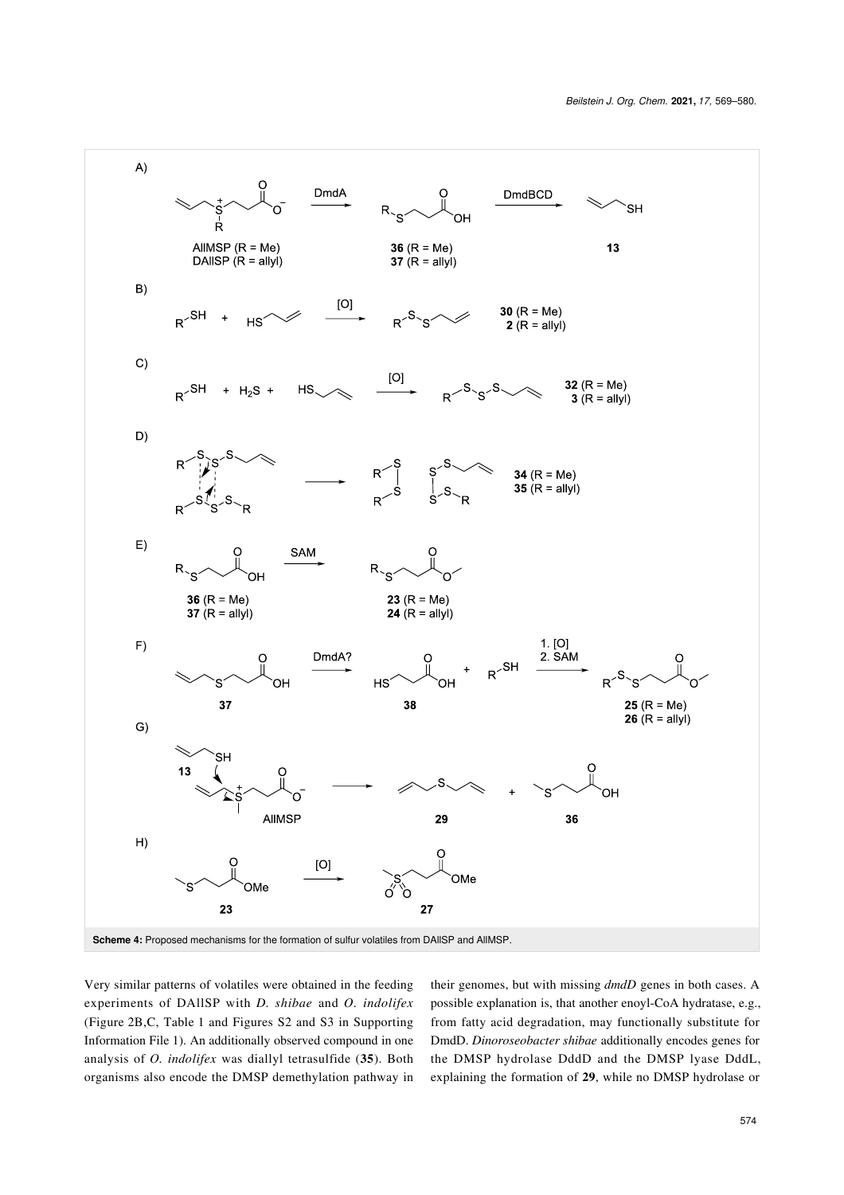<span id="page-5-0"></span>

Very similar patterns of volatiles were obtained in the feeding experiments of DAllSP with *D. shibae* and *O. indolifex* ([Figure 2B](#page-4-0),C, [Table 1](#page-4-1) and Figures S2 and S3 in [Supporting](#page-10-10) [Information File 1](#page-10-10)). An additionally observed compound in one analysis of *O. indolifex* was diallyl tetrasulfide (**35**). Both organisms also encode the DMSP demethylation pathway in their genomes, but with missing *dmdD* genes in both cases. A possible explanation is, that another enoyl-CoA hydratase, e.g., from fatty acid degradation, may functionally substitute for DmdD. *Dinoroseobacter shibae* additionally encodes genes for the DMSP hydrolase DddD and the DMSP lyase DddL, explaining the formation of **29**, while no DMSP hydrolase or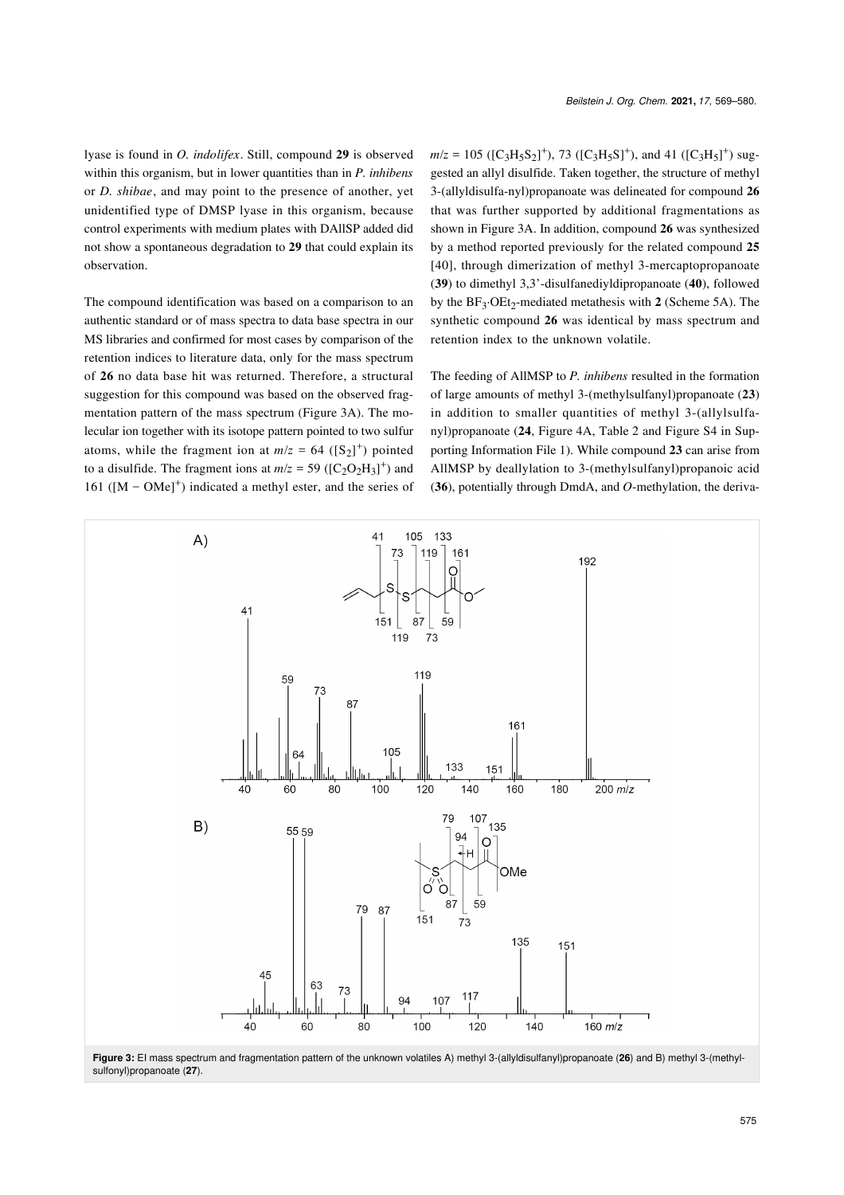lyase is found in *O. indolifex*. Still, compound **29** is observed within this organism, but in lower quantities than in *P. inhibens* or *D. shibae*, and may point to the presence of another, yet unidentified type of DMSP lyase in this organism, because control experiments with medium plates with DAllSP added did not show a spontaneous degradation to **29** that could explain its observation.

The compound identification was based on a comparison to an authentic standard or of mass spectra to data base spectra in our MS libraries and confirmed for most cases by comparison of the retention indices to literature data, only for the mass spectrum of **26** no data base hit was returned. Therefore, a structural suggestion for this compound was based on the observed fragmentation pattern of the mass spectrum [\(Figure 3A](#page-6-0)). The molecular ion together with its isotope pattern pointed to two sulfur atoms, while the fragment ion at  $m/z = 64$  ( $[S_2]^+$ ) pointed to a disulfide. The fragment ions at  $m/z = 59$  ( $[C_2O_2H_3]^+$ ) and 161 ( $[M - OMe]$ <sup>+</sup>) indicated a methyl ester, and the series of

 $m/z = 105$  ([C<sub>3</sub>H<sub>5</sub>S<sub>2</sub>]<sup>+</sup>), 73 ([C<sub>3</sub>H<sub>5</sub>S]<sup>+</sup>), and 41 ([C<sub>3</sub>H<sub>5</sub>]<sup>+</sup>) suggested an allyl disulfide. Taken together, the structure of methyl 3-(allyldisulfa-nyl)propanoate was delineated for compound **26** that was further supported by additional fragmentations as shown in [Figure 3A.](#page-6-0) In addition, compound **26** was synthesized by a method reported previously for the related compound **25** [\[40\]](#page-11-24), through dimerization of methyl 3-mercaptopropanoate (**39**) to dimethyl 3,3'-disulfanediyldipropanoate (**40**), followed by the BF<sub>3</sub>·OEt<sub>2</sub>-mediated metathesis with 2 ([Scheme 5A\)](#page-7-0). The synthetic compound **26** was identical by mass spectrum and retention index to the unknown volatile.

The feeding of AllMSP to *P. inhibens* resulted in the formation of large amounts of methyl 3-(methylsulfanyl)propanoate (**23**) in addition to smaller quantities of methyl 3-(allylsulfanyl)propanoate (**24**, [Figure 4A](#page-7-1), [Table 2](#page-8-0) and Figure S4 in [Sup](#page-10-10)[porting Information File 1\)](#page-10-10). While compound **23** can arise from AllMSP by deallylation to 3-(methylsulfanyl)propanoic acid (**36**), potentially through DmdA, and *O*-methylation, the deriva-

<span id="page-6-0"></span>

**Figure 3:** EI mass spectrum and fragmentation pattern of the unknown volatiles A) methyl 3-(allyldisulfanyl)propanoate (**26**) and B) methyl 3-(methylsulfonyl)propanoate (**27**).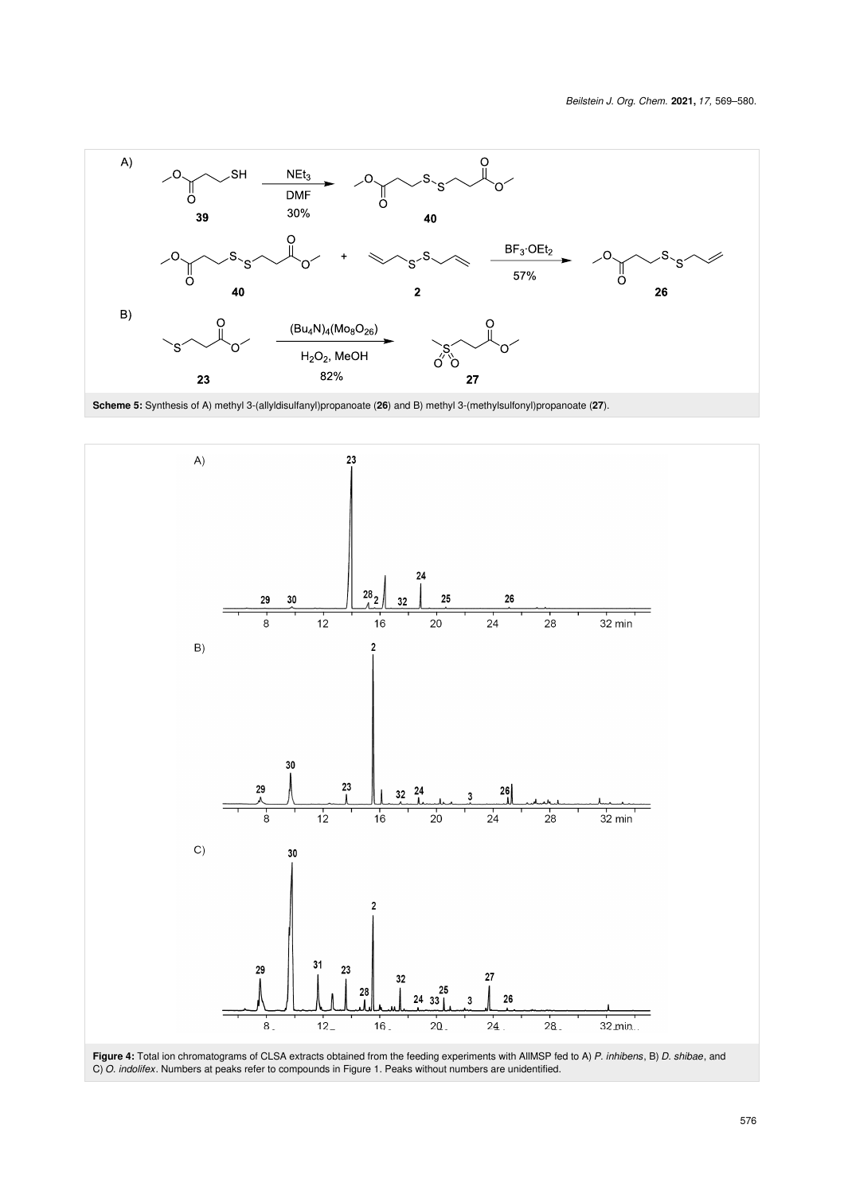<span id="page-7-0"></span>



<span id="page-7-1"></span>

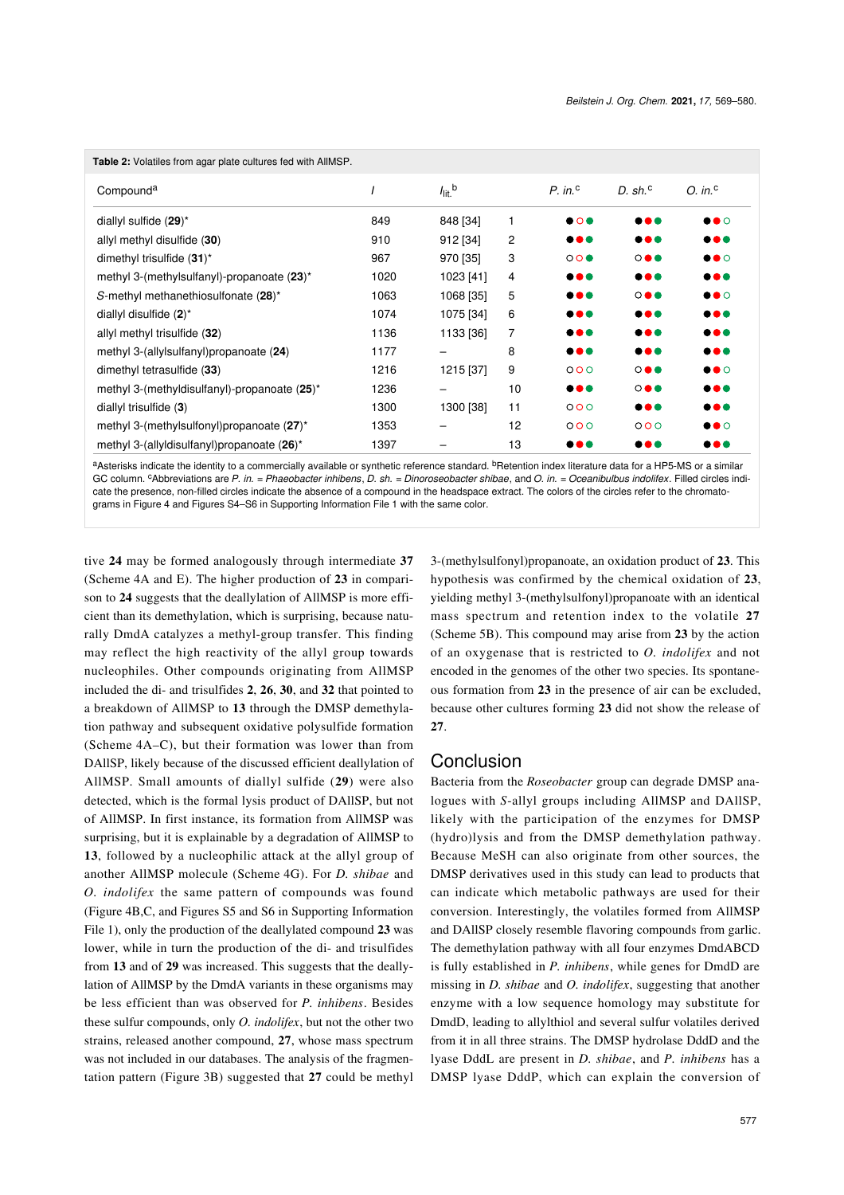<span id="page-8-0"></span>

| <b>Table 2:</b> Volatiles from agar plate cultures fed with AllMSP. |      |                               |    |                         |                         |                         |  |  |  |
|---------------------------------------------------------------------|------|-------------------------------|----|-------------------------|-------------------------|-------------------------|--|--|--|
| Compound <sup>a</sup>                                               |      | $I_{\text{lit}}$ <sup>b</sup> |    | $P \cdot in^c$          | D. sh. $\circ$          | $O.$ in. $\degree$      |  |  |  |
| diallyl sulfide $(29)^*$                                            | 849  | 848 [34]                      | 1  | $\bullet$ 0 $\bullet$   |                         | $\bullet\bullet\circ$   |  |  |  |
| allyl methyl disulfide (30)                                         | 910  | 912 [34]                      | 2  | 000                     | 000                     | 000                     |  |  |  |
| dimethyl trisulfide (31)*                                           | 967  | 970 [35]                      | 3  | 000                     | $\circ\bullet\bullet$   | $\bullet\bullet\circ$   |  |  |  |
| methyl 3-(methylsulfanyl)-propanoate (23)*                          | 1020 | 1023 [41]                     | 4  | $\bullet\bullet\bullet$ |                         | 000                     |  |  |  |
| S-methyl methanethiosulfonate (28)*                                 | 1063 | 1068 [35]                     | 5  | $\bullet\bullet\bullet$ | $\circ\bullet\bullet$   | $\bullet\bullet\circ$   |  |  |  |
| diallyl disulfide $(2)^*$                                           | 1074 | 1075 [34]                     | 6  | $\bullet\bullet\bullet$ |                         | $\bullet\bullet\bullet$ |  |  |  |
| allyl methyl trisulfide (32)                                        | 1136 | 1133 [36]                     | 7  | $\bullet\bullet\bullet$ |                         | 000                     |  |  |  |
| methyl 3-(allylsulfanyl)propanoate (24)                             | 1177 |                               | 8  | $\bullet\bullet\bullet$ |                         | 000                     |  |  |  |
| dimethyl tetrasulfide (33)                                          | 1216 | 1215 [37]                     | 9  | 000                     | $\circ\bullet\bullet$   | $\bullet\bullet\circ$   |  |  |  |
| methyl 3-(methyldisulfanyl)-propanoate (25)*                        | 1236 |                               | 10 | $\bullet\bullet\bullet$ | $\circ\bullet\bullet$   | $\bullet\bullet\bullet$ |  |  |  |
| diallyl trisulfide $(3)$                                            | 1300 | 1300 [38]                     | 11 | 000                     | $\bullet\bullet\bullet$ | $\bullet\bullet\bullet$ |  |  |  |
| methyl 3-(methylsulfonyl)propanoate (27)*                           | 1353 |                               | 12 | 000                     | 000                     | $\bullet\bullet\circ$   |  |  |  |
| methyl 3-(allyldisulfanyl)propanoate (26)*                          | 1397 |                               | 13 | $\bullet\bullet\bullet$ |                         | $\bullet\bullet\bullet$ |  |  |  |

aAsterisks indicate the identity to a commercially available or synthetic reference standard. <sup>b</sup>Retention index literature data for a HP5-MS or a similar GC column. cAbbreviations are *P. in.* = *Phaeobacter inhibens*, *D. sh.* = *Dinoroseobacter shibae*, and *O. in.* = *Oceanibulbus indolifex*. Filled circles indicate the presence, non-filled circles indicate the absence of a compound in the headspace extract. The colors of the circles refer to the chromatograms in [Figure 4](#page-7-1) and Figures S4–S6 in [Supporting Information File 1](#page-10-10) with the same color.

tive **24** may be formed analogously through intermediate **37** ([Scheme 4A](#page-5-0) and E). The higher production of **23** in comparison to **24** suggests that the deallylation of AllMSP is more efficient than its demethylation, which is surprising, because naturally DmdA catalyzes a methyl-group transfer. This finding may reflect the high reactivity of the allyl group towards nucleophiles. Other compounds originating from AllMSP included the di- and trisulfides **2**, **26**, **30**, and **32** that pointed to a breakdown of AllMSP to **13** through the DMSP demethylation pathway and subsequent oxidative polysulfide formation ([Scheme 4A](#page-5-0)–C), but their formation was lower than from DAllSP, likely because of the discussed efficient deallylation of AllMSP. Small amounts of diallyl sulfide (**29**) were also detected, which is the formal lysis product of DAllSP, but not of AllMSP. In first instance, its formation from AllMSP was surprising, but it is explainable by a degradation of AllMSP to **13**, followed by a nucleophilic attack at the allyl group of another AllMSP molecule [\(Scheme 4G](#page-5-0)). For *D. shibae* and *O. indolifex* the same pattern of compounds was found ([Figure 4B](#page-7-1),C, and Figures S5 and S6 in [Supporting Information](#page-10-10) [File 1](#page-10-10)), only the production of the deallylated compound **23** was lower, while in turn the production of the di- and trisulfides from **13** and of **29** was increased. This suggests that the deallylation of AllMSP by the DmdA variants in these organisms may be less efficient than was observed for *P. inhibens*. Besides these sulfur compounds, only *O. indolifex*, but not the other two strains, released another compound, **27**, whose mass spectrum was not included in our databases. The analysis of the fragmentation pattern [\(Figure 3B](#page-6-0)) suggested that **27** could be methyl

3-(methylsulfonyl)propanoate, an oxidation product of **23**. This hypothesis was confirmed by the chemical oxidation of **23**, yielding methyl 3-(methylsulfonyl)propanoate with an identical mass spectrum and retention index to the volatile **27** ([Scheme 5B\)](#page-7-0). This compound may arise from **23** by the action of an oxygenase that is restricted to *O. indolifex* and not encoded in the genomes of the other two species. Its spontaneous formation from **23** in the presence of air can be excluded, because other cultures forming **23** did not show the release of **27**.

#### Conclusion

Bacteria from the *Roseobacter* group can degrade DMSP analogues with *S*-allyl groups including AllMSP and DAllSP, likely with the participation of the enzymes for DMSP (hydro)lysis and from the DMSP demethylation pathway. Because MeSH can also originate from other sources, the DMSP derivatives used in this study can lead to products that can indicate which metabolic pathways are used for their conversion. Interestingly, the volatiles formed from AllMSP and DAllSP closely resemble flavoring compounds from garlic. The demethylation pathway with all four enzymes DmdABCD is fully established in *P. inhibens*, while genes for DmdD are missing in *D. shibae* and *O. indolifex*, suggesting that another enzyme with a low sequence homology may substitute for DmdD, leading to allylthiol and several sulfur volatiles derived from it in all three strains. The DMSP hydrolase DddD and the lyase DddL are present in *D. shibae*, and *P. inhibens* has a DMSP lyase DddP, which can explain the conversion of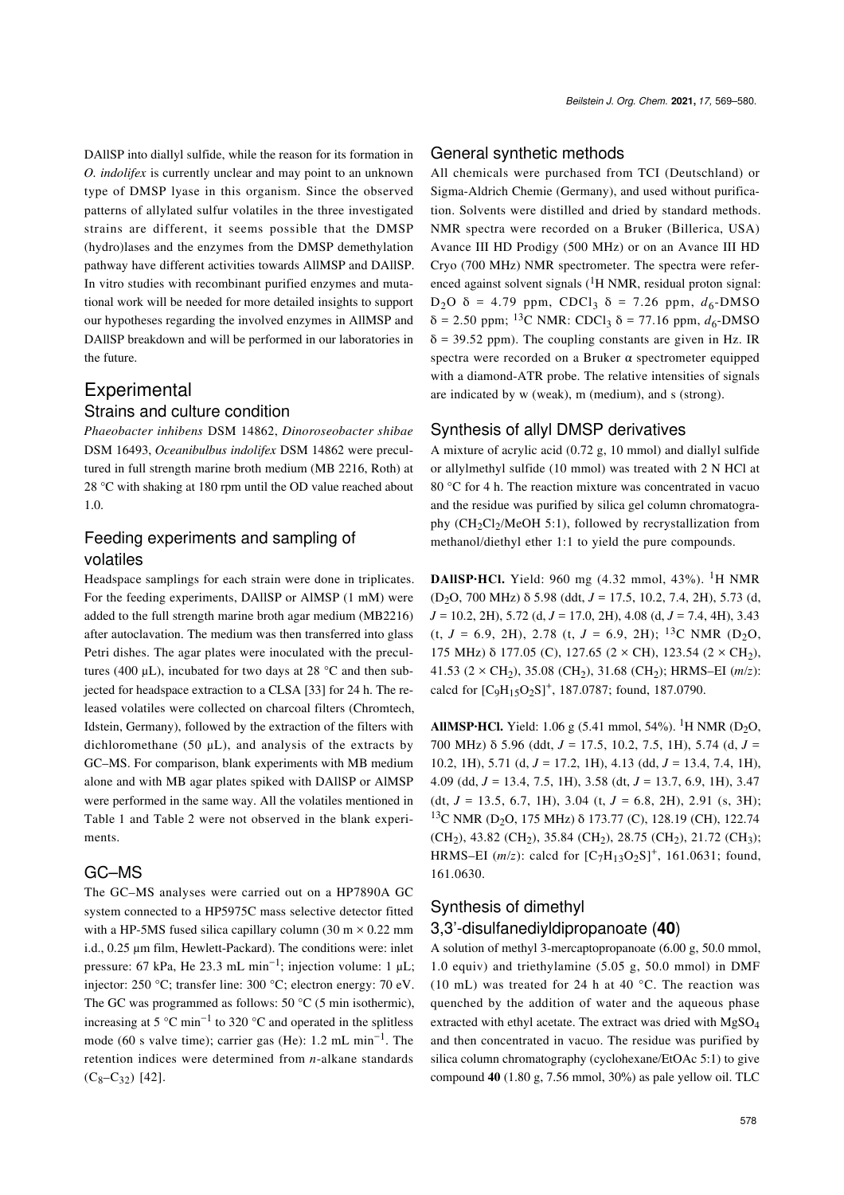DAllSP into diallyl sulfide, while the reason for its formation in *O. indolifex* is currently unclear and may point to an unknown type of DMSP lyase in this organism. Since the observed patterns of allylated sulfur volatiles in the three investigated strains are different, it seems possible that the DMSP (hydro)lases and the enzymes from the DMSP demethylation pathway have different activities towards AllMSP and DAllSP. In vitro studies with recombinant purified enzymes and mutational work will be needed for more detailed insights to support our hypotheses regarding the involved enzymes in AllMSP and DAllSP breakdown and will be performed in our laboratories in the future.

## Experimental

#### Strains and culture condition

*Phaeobacter inhibens* DSM 14862, *Dinoroseobacter shibae* DSM 16493, *Oceanibulbus indolifex* DSM 14862 were precultured in full strength marine broth medium (MB 2216, Roth) at 28 °C with shaking at 180 rpm until the OD value reached about 1.0.

## Feeding experiments and sampling of volatiles

Headspace samplings for each strain were done in triplicates. For the feeding experiments, DAllSP or AlMSP (1 mM) were added to the full strength marine broth agar medium (MB2216) after autoclavation. The medium was then transferred into glass Petri dishes. The agar plates were inoculated with the precultures (400  $\mu$ L), incubated for two days at 28 °C and then subjected for headspace extraction to a CLSA [\[33\]](#page-11-17) for 24 h. The released volatiles were collected on charcoal filters (Chromtech, Idstein, Germany), followed by the extraction of the filters with dichloromethane (50  $\mu$ L), and analysis of the extracts by GC–MS. For comparison, blank experiments with MB medium alone and with MB agar plates spiked with DAllSP or AlMSP were performed in the same way. All the volatiles mentioned in [Table 1](#page-4-1) and [Table 2](#page-8-0) were not observed in the blank experiments.

#### GC–MS

The GC–MS analyses were carried out on a HP7890A GC system connected to a HP5975C mass selective detector fitted with a HP-5MS fused silica capillary column (30 m  $\times$  0.22 mm i.d., 0.25 μm film, Hewlett-Packard). The conditions were: inlet pressure: 67 kPa, He 23.3 mL min<sup>-1</sup>; injection volume: 1 µL; injector: 250 °C; transfer line: 300 °C; electron energy: 70 eV. The GC was programmed as follows:  $50^{\circ}$ C (5 min isothermic), increasing at 5 °C min<sup>-1</sup> to 320 °C and operated in the splitless mode (60 s valve time); carrier gas (He): 1.2 mL min−<sup>1</sup> . The retention indices were determined from *n*-alkane standards  $(C_8-C_{32})$  [\[42\]](#page-11-26).

#### General synthetic methods

All chemicals were purchased from TCI (Deutschland) or Sigma-Aldrich Chemie (Germany), and used without purification. Solvents were distilled and dried by standard methods. NMR spectra were recorded on a Bruker (Billerica, USA) Avance III HD Prodigy (500 MHz) or on an Avance III HD Cryo (700 MHz) NMR spectrometer. The spectra were referenced against solvent signals  $(^1H$  NMR, residual proton signal: D<sub>2</sub>O δ = 4.79 ppm, CDCl<sub>3</sub> δ = 7.26 ppm,  $d_6$ -DMSO  $δ = 2.50$  ppm; <sup>13</sup>C NMR: CDCl<sub>3</sub>  $δ = 77.16$  ppm,  $d<sub>6</sub>$ -DMSO  $\delta$  = 39.52 ppm). The coupling constants are given in Hz. IR spectra were recorded on a Bruker α spectrometer equipped with a diamond-ATR probe. The relative intensities of signals are indicated by w (weak), m (medium), and s (strong).

#### Synthesis of allyl DMSP derivatives

A mixture of acrylic acid (0.72 g, 10 mmol) and diallyl sulfide or allylmethyl sulfide (10 mmol) was treated with 2 N HCl at 80 °C for 4 h. The reaction mixture was concentrated in vacuo and the residue was purified by silica gel column chromatography  $(CH_2Cl_2/MeOH 5:1)$ , followed by recrystallization from methanol/diethyl ether 1:1 to yield the pure compounds.

**DAIISP·HCl.** Yield: 960 mg  $(4.32 \text{ mmol}, 43\%)$ . <sup>1</sup>H NMR (D<sub>2</sub>O, 700 MHz)  $\delta$  5.98 (ddt,  $J = 17.5$ , 10.2, 7.4, 2H), 5.73 (d, *J* = 10.2, 2H), 5.72 (d, *J* = 17.0, 2H), 4.08 (d, *J* = 7.4, 4H), 3.43  $(t, J = 6.9, 2H)$ , 2.78  $(t, J = 6.9, 2H)$ ; <sup>13</sup>C NMR (D<sub>2</sub>O, 175 MHz) δ 177.05 (C), 127.65 (2 × CH), 123.54 (2 × CH<sub>2</sub>), 41.53 ( $2 \times CH_2$ ), 35.08 (CH<sub>2</sub>), 31.68 (CH<sub>2</sub>); HRMS–EI (*m*/*z*): calcd for  $[C_9H_{15}O_2S]^+$ , 187.0787; found, 187.0790.

**AllMSP·HCl.** Yield: 1.06 g (5.41 mmol, 54%). <sup>1</sup>H NMR (D<sub>2</sub>O, 700 MHz) δ 5.96 (ddt, *J* = 17.5, 10.2, 7.5, 1H), 5.74 (d, *J* = 10.2, 1H), 5.71 (d, *J* = 17.2, 1H), 4.13 (dd, *J* = 13.4, 7.4, 1H), 4.09 (dd, *J* = 13.4, 7.5, 1H), 3.58 (dt, *J* = 13.7, 6.9, 1H), 3.47 (dt, *J* = 13.5, 6.7, 1H), 3.04 (t, *J* = 6.8, 2H), 2.91 (s, 3H); <sup>13</sup>C NMR (D<sub>2</sub>O, 175 MHz) δ 173.77 (C), 128.19 (CH), 122.74  $(CH<sub>2</sub>), 43.82$  (CH<sub>2</sub>), 35.84 (CH<sub>2</sub>), 28.75 (CH<sub>2</sub>), 21.72 (CH<sub>3</sub>); HRMS–EI ( $m/z$ ): calcd for  $[C_7H_{13}O_2S]^+$ , 161.0631; found, 161.0630.

#### Synthesis of dimethyl

#### 3,3'-disulfanediyldipropanoate (**40**)

A solution of methyl 3-mercaptopropanoate (6.00 g, 50.0 mmol, 1.0 equiv) and triethylamine (5.05 g, 50.0 mmol) in DMF (10 mL) was treated for 24 h at 40 °C. The reaction was quenched by the addition of water and the aqueous phase extracted with ethyl acetate. The extract was dried with MgSO<sup>4</sup> and then concentrated in vacuo. The residue was purified by silica column chromatography (cyclohexane/EtOAc 5:1) to give compound **40** (1.80 g, 7.56 mmol, 30%) as pale yellow oil. TLC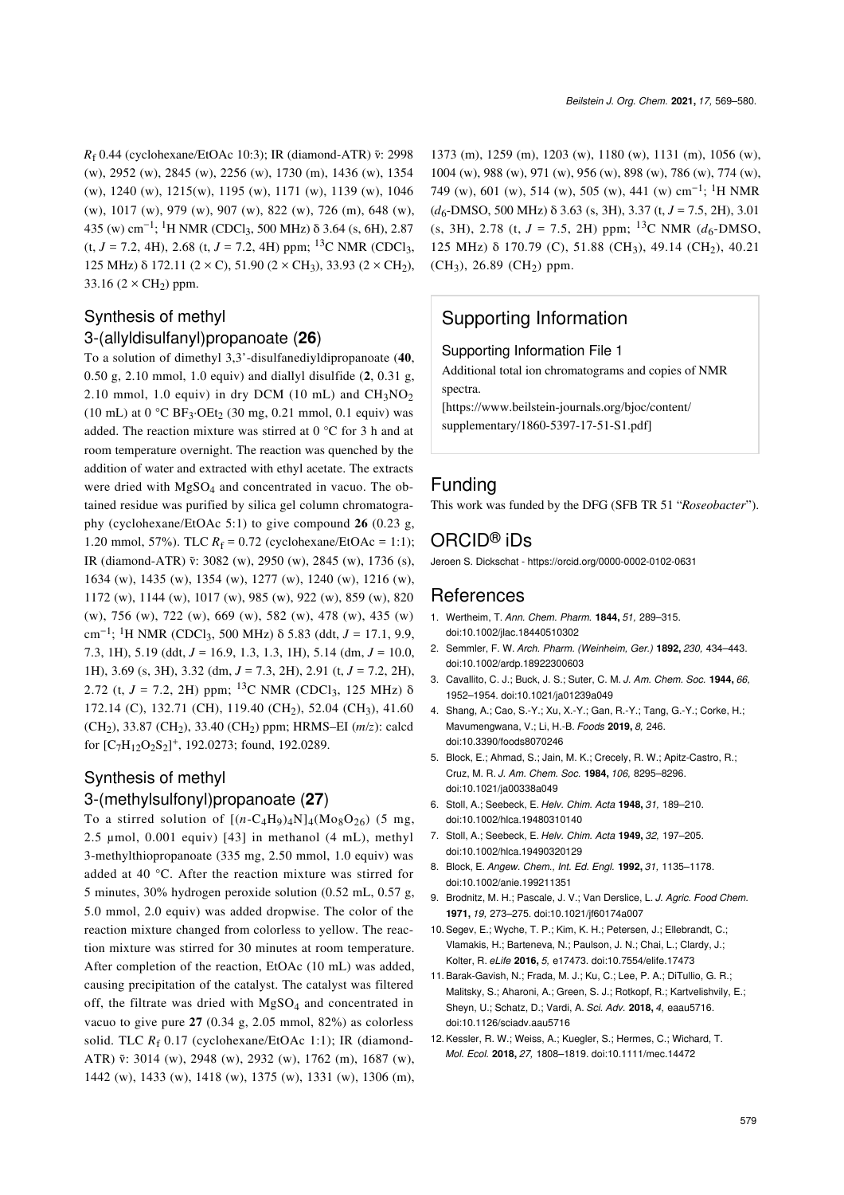*R*<sub>f</sub> 0.44 (cyclohexane/EtOAc 10:3); IR (diamond-ATR) ν̃: 2998 (w), 2952 (w), 2845 (w), 2256 (w), 1730 (m), 1436 (w), 1354 (w), 1240 (w), 1215(w), 1195 (w), 1171 (w), 1139 (w), 1046 (w), 1017 (w), 979 (w), 907 (w), 822 (w), 726 (m), 648 (w), 435 (w) cm−<sup>1</sup> ; 1H NMR (CDCl3, 500 MHz) δ 3.64 (s, 6H), 2.87  $(t, J = 7.2, 4H)$ , 2.68  $(t, J = 7.2, 4H)$  ppm; <sup>13</sup>C NMR (CDCl<sub>3</sub>, 125 MHz) δ 172.11 (2 × C), 51.90 (2 × CH<sub>3</sub>), 33.93 (2 × CH<sub>2</sub>), 33.16  $(2 \times CH_2)$  ppm.

## Synthesis of methyl 3-(allyldisulfanyl)propanoate (**26**)

To a solution of dimethyl 3,3'-disulfanediyldipropanoate (**40**, 0.50 g, 2.10 mmol, 1.0 equiv) and diallyl disulfide (**2**, 0.31 g, 2.10 mmol, 1.0 equiv) in dry DCM (10 mL) and  $CH<sub>3</sub>NO<sub>2</sub>$ (10 mL) at  $0^{\circ}$ C BF<sub>3</sub>·OEt<sub>2</sub> (30 mg, 0.21 mmol, 0.1 equiv) was added. The reaction mixture was stirred at  $0^{\circ}$ C for 3 h and at room temperature overnight. The reaction was quenched by the addition of water and extracted with ethyl acetate. The extracts were dried with MgSO<sub>4</sub> and concentrated in vacuo. The obtained residue was purified by silica gel column chromatography (cyclohexane/EtOAc 5:1) to give compound **26** (0.23 g, 1.20 mmol, 57%). TLC  $R_f = 0.72$  (cyclohexane/EtOAc = 1:1); IR (diamond-ATR) ν̃: 3082 (w), 2950 (w), 2845 (w), 1736 (s), 1634 (w), 1435 (w), 1354 (w), 1277 (w), 1240 (w), 1216 (w), 1172 (w), 1144 (w), 1017 (w), 985 (w), 922 (w), 859 (w), 820 (w), 756 (w), 722 (w), 669 (w), 582 (w), 478 (w), 435 (w) cm−<sup>1</sup> ; 1H NMR (CDCl3, 500 MHz) δ 5.83 (ddt, *J* = 17.1, 9.9, 7.3, 1H), 5.19 (ddt, *J* = 16.9, 1.3, 1.3, 1H), 5.14 (dm, *J* = 10.0, 1H), 3.69 (s, 3H), 3.32 (dm, *J* = 7.3, 2H), 2.91 (t, *J* = 7.2, 2H), 2.72 (t,  $J = 7.2$ , 2H) ppm; <sup>13</sup>C NMR (CDCl<sub>3</sub>, 125 MHz)  $\delta$ 172.14 (C), 132.71 (CH), 119.40 (CH<sub>2</sub>), 52.04 (CH<sub>3</sub>), 41.60 (CH2), 33.87 (CH2), 33.40 (CH2) ppm; HRMS–EI (*m*/*z*): calcd for  $[C_7H_{12}O_2S_2]^+$ , 192.0273; found, 192.0289.

# Synthesis of methyl 3-(methylsulfonyl)propanoate (**27**)

To a stirred solution of  $[(n-C<sub>4</sub>H<sub>9</sub>)<sub>4</sub>N]<sub>4</sub>(M<sub>08</sub>O<sub>26</sub>)$  (5 mg, 2.5 μmol, 0.001 equiv) [\[43\]](#page-11-27) in methanol  $(4 \text{ mL})$ , methyl 3-methylthiopropanoate (335 mg, 2.50 mmol, 1.0 equiv) was added at 40 °C. After the reaction mixture was stirred for 5 minutes, 30% hydrogen peroxide solution (0.52 mL, 0.57 g, 5.0 mmol, 2.0 equiv) was added dropwise. The color of the reaction mixture changed from colorless to yellow. The reaction mixture was stirred for 30 minutes at room temperature. After completion of the reaction, EtOAc (10 mL) was added, causing precipitation of the catalyst. The catalyst was filtered off, the filtrate was dried with  $MgSO_4$  and concentrated in vacuo to give pure **27** (0.34 g, 2.05 mmol, 82%) as colorless solid. TLC  $R_f$  0.17 (cyclohexane/EtOAc 1:1); IR (diamond-ATR)  $\tilde{v}$ : 3014 (w), 2948 (w), 2932 (w), 1762 (m), 1687 (w), 1442 (w), 1433 (w), 1418 (w), 1375 (w), 1331 (w), 1306 (m), 1373 (m), 1259 (m), 1203 (w), 1180 (w), 1131 (m), 1056 (w), 1004 (w), 988 (w), 971 (w), 956 (w), 898 (w), 786 (w), 774 (w), 749 (w), 601 (w), 514 (w), 505 (w), 441 (w) cm<sup>-1</sup>; <sup>1</sup>H NMR (*d*6-DMSO, 500 MHz) δ 3.63 (s, 3H), 3.37 (t, *J* = 7.5, 2H), 3.01 (s, 3H), 2.78 (t,  $J = 7.5$ , 2H) ppm; <sup>13</sup>C NMR ( $d_6$ -DMSO, 125 MHz) δ 170.79 (C), 51.88 (CH<sub>3</sub>), 49.14 (CH<sub>2</sub>), 40.21  $(CH_3)$ , 26.89 (CH<sub>2</sub>) ppm.

# Supporting Information

#### <span id="page-10-10"></span>Supporting Information File 1

Additional total ion chromatograms and copies of NMR spectra.

[\[https://www.beilstein-journals.org/bjoc/content/](https://www.beilstein-journals.org/bjoc/content/supplementary/1860-5397-17-51-S1.pdf) [supplementary/1860-5397-17-51-S1.pdf\]](https://www.beilstein-journals.org/bjoc/content/supplementary/1860-5397-17-51-S1.pdf)

## Funding

This work was funded by the DFG (SFB TR 51 "*Roseobacter*").

# ORCID® iDs

Jeroen S. Dickschat -<https://orcid.org/0000-0002-0102-0631>

#### References

- <span id="page-10-0"></span>1. Wertheim, T. *Ann. Chem. Pharm.* **1844,** *51,* 289–315. [doi:10.1002/jlac.18440510302](https://doi.org/10.1002%2Fjlac.18440510302)
- <span id="page-10-1"></span>2. Semmler, F. W. *Arch. Pharm. (Weinheim, Ger.)* **1892,** *230,* 434–443. [doi:10.1002/ardp.18922300603](https://doi.org/10.1002%2Fardp.18922300603)
- <span id="page-10-2"></span>3. Cavallito, C. J.; Buck, J. S.; Suter, C. M. *J. Am. Chem. Soc.* **1944,** *66,* 1952–1954. [doi:10.1021/ja01239a049](https://doi.org/10.1021%2Fja01239a049)
- <span id="page-10-3"></span>4. Shang, A.; Cao, S.-Y.; Xu, X.-Y.; Gan, R.-Y.; Tang, G.-Y.; Corke, H.; Mavumengwana, V.; Li, H.-B. *Foods* **2019,** *8,* 246. [doi:10.3390/foods8070246](https://doi.org/10.3390%2Ffoods8070246)
- <span id="page-10-4"></span>5. Block, E.; Ahmad, S.; Jain, M. K.; Crecely, R. W.; Apitz-Castro, R.; Cruz, M. R. *J. Am. Chem. Soc.* **1984,** *106,* 8295–8296. [doi:10.1021/ja00338a049](https://doi.org/10.1021%2Fja00338a049)
- <span id="page-10-5"></span>6. Stoll, A.; Seebeck, E. *Helv. Chim. Acta* **1948,** *31,* 189–210. [doi:10.1002/hlca.19480310140](https://doi.org/10.1002%2Fhlca.19480310140)
- <span id="page-10-6"></span>7. Stoll, A.; Seebeck, E. *Helv. Chim. Acta* **1949,** *32,* 197–205. [doi:10.1002/hlca.19490320129](https://doi.org/10.1002%2Fhlca.19490320129)
- 8. Block, E. *Angew. Chem., Int. Ed. Engl.* **1992,** *31,* 1135–1178. [doi:10.1002/anie.199211351](https://doi.org/10.1002%2Fanie.199211351)
- <span id="page-10-7"></span>9. Brodnitz, M. H.; Pascale, J. V.; Van Derslice, L. *J. Agric. Food Chem.* **1971,** *19,* 273–275. [doi:10.1021/jf60174a007](https://doi.org/10.1021%2Fjf60174a007)
- <span id="page-10-8"></span>10.Segev, E.; Wyche, T. P.; Kim, K. H.; Petersen, J.; Ellebrandt, C.; Vlamakis, H.; Barteneva, N.; Paulson, J. N.; Chai, L.; Clardy, J.; Kolter, R. *eLife* **2016,** *5,* e17473. [doi:10.7554/elife.17473](https://doi.org/10.7554%2Felife.17473)
- 11.Barak-Gavish, N.; Frada, M. J.; Ku, C.; Lee, P. A.; DiTullio, G. R.; Malitsky, S.; Aharoni, A.; Green, S. J.; Rotkopf, R.; Kartvelishvily, E.; Sheyn, U.; Schatz, D.; Vardi, A. *Sci. Adv.* **2018,** *4,* eaau5716. [doi:10.1126/sciadv.aau5716](https://doi.org/10.1126%2Fsciadv.aau5716)
- <span id="page-10-9"></span>12.Kessler, R. W.; Weiss, A.; Kuegler, S.; Hermes, C.; Wichard, T. *Mol. Ecol.* **2018,** *27,* 1808–1819. [doi:10.1111/mec.14472](https://doi.org/10.1111%2Fmec.14472)